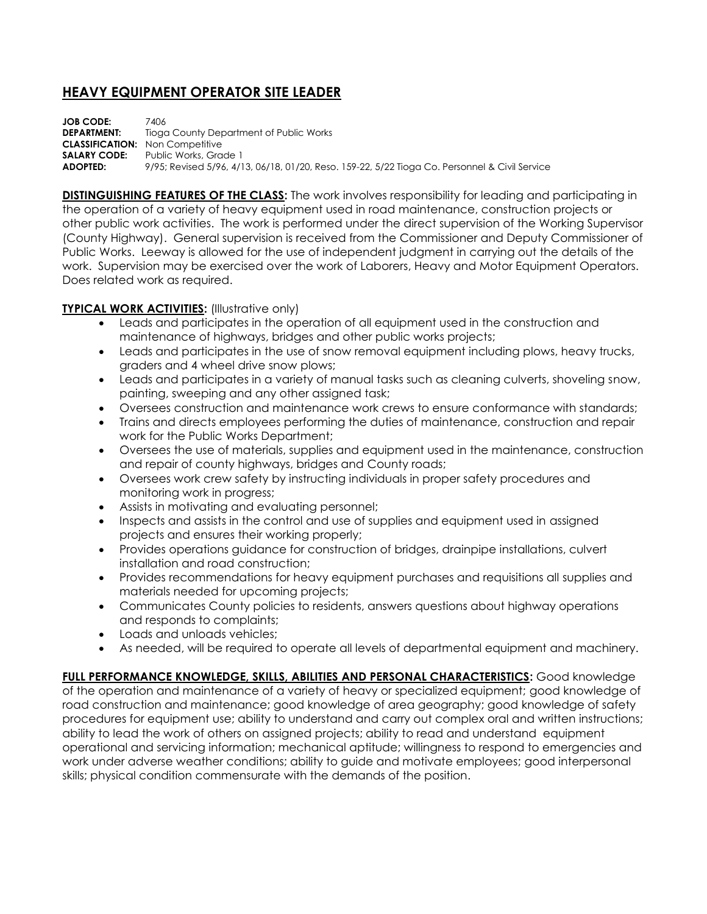## **HEAVY EQUIPMENT OPERATOR SITE LEADER**

**JOB CODE:** 7406<br>**DEPARTMENT:** Tione **Tioga County Department of Public Works CLASSIFICATION:** Non Competitive **SALARY CODE:** Public Works, Grade 1 **ADOPTED:** 9/95; Revised 5/96, 4/13, 06/18, 01/20, Reso. 159-22, 5/22 Tioga Co. Personnel & Civil Service

**DISTINGUISHING FEATURES OF THE CLASS:** The work involves responsibility for leading and participating in the operation of a variety of heavy equipment used in road maintenance, construction projects or other public work activities. The work is performed under the direct supervision of the Working Supervisor (County Highway). General supervision is received from the Commissioner and Deputy Commissioner of Public Works. Leeway is allowed for the use of independent judgment in carrying out the details of the work. Supervision may be exercised over the work of Laborers, Heavy and Motor Equipment Operators. Does related work as required.

## **TYPICAL WORK ACTIVITIES:** (Illustrative only)

- Leads and participates in the operation of all equipment used in the construction and maintenance of highways, bridges and other public works projects;
- Leads and participates in the use of snow removal equipment including plows, heavy trucks, graders and 4 wheel drive snow plows;
- Leads and participates in a variety of manual tasks such as cleaning culverts, shoveling snow, painting, sweeping and any other assigned task;
- Oversees construction and maintenance work crews to ensure conformance with standards;
- Trains and directs employees performing the duties of maintenance, construction and repair work for the Public Works Department;
- Oversees the use of materials, supplies and equipment used in the maintenance, construction and repair of county highways, bridges and County roads;
- Oversees work crew safety by instructing individuals in proper safety procedures and monitoring work in progress;
- Assists in motivating and evaluating personnel;
- Inspects and assists in the control and use of supplies and equipment used in assigned projects and ensures their working properly;
- Provides operations guidance for construction of bridges, drainpipe installations, culvert installation and road construction;
- Provides recommendations for heavy equipment purchases and requisitions all supplies and materials needed for upcoming projects;
- Communicates County policies to residents, answers questions about highway operations and responds to complaints;
- Loads and unloads vehicles:
- As needed, will be required to operate all levels of departmental equipment and machinery.

**FULL PERFORMANCE KNOWLEDGE, SKILLS, ABILITIES AND PERSONAL CHARACTERISTICS:** Good knowledge of the operation and maintenance of a variety of heavy or specialized equipment; good knowledge of road construction and maintenance; good knowledge of area geography; good knowledge of safety procedures for equipment use; ability to understand and carry out complex oral and written instructions; ability to lead the work of others on assigned projects; ability to read and understand equipment operational and servicing information; mechanical aptitude; willingness to respond to emergencies and work under adverse weather conditions; ability to guide and motivate employees; good interpersonal skills; physical condition commensurate with the demands of the position.